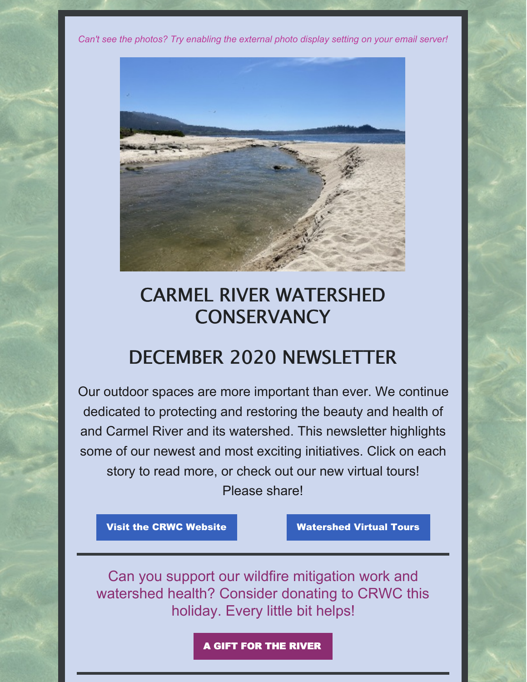*Can't see the photos? Try enabling the external photo display setting on your email server!*



# CARMEL RIVER WATERSHED **CONSERVANCY**

# DECEMBER 2020 NEWSLETTER

Our outdoor spaces are more important than ever. We continue dedicated to protecting and restoring the beauty and health of and Carmel River and its watershed. This newsletter highlights some of our newest and most exciting initiatives. Click on each story to read more, or check out our new virtual tours! Please share!

Visit the CRWC [Website](https://www.carmelriverwatershed.org/) Watershed Virtual Tours

Can you support our wildfire mitigation work and watershed health? Consider donating to CRWC this holiday. Every little bit helps!

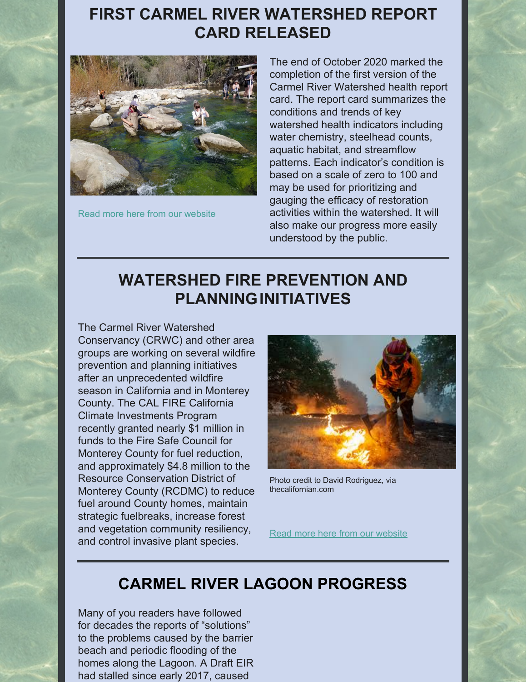### **FIRST CARMEL RIVER [WATERSHED](https://www.carmelriverwatershed.org/latest-news/first-carmel-river-watershed-report-card-released) REPORT CARD RELEASED**



Read more here from our [website](https://www.carmelriverwatershed.org/latest-news/first-carmel-river-watershed-report-card-released)

The end of October 2020 marked the completion of the first version of the Carmel River Watershed health report card. The report card summarizes the conditions and trends of key watershed health indicators including water chemistry, steelhead counts, aquatic habitat, and streamflow patterns. Each indicator's condition is based on a scale of zero to 100 and may be used for prioritizing and gauging the efficacy of restoration activities within the watershed. It will also make our progress more easily understood by the public.

# **WATERSHED FIRE PREVENTION AND [PLANNINGINITIATIVES](https://www.carmelriverwatershed.org/latest-news/watershed-fire-prevention-and-planning)**

The Carmel River Watershed Conservancy (CRWC) and other area groups are working on several wildfire prevention and planning initiatives after an unprecedented wildfire season in California and in Monterey County. The CAL FIRE California Climate Investments Program recently granted nearly \$1 million in funds to the Fire Safe Council for Monterey County for fuel reduction, and approximately \$4.8 million to the Resource Conservation District of Monterey County (RCDMC) to reduce fuel around County homes, maintain strategic fuelbreaks, increase forest and vegetation community resiliency, and control invasive plant species.



Photo credit to David Rodriguez, via thecalifornian.com

Read more here from our [website](https://www.carmelriverwatershed.org/latest-news/watershed-fire-prevention-and-planning)

## **CARMEL RIVER LAGOON [PROGRESS](https://www.carmelriverwatershed.org/latest-news/carmel-river-lagoon-progress)**

Many of you readers have followed for decades the reports of "solutions" to the problems caused by the barrier beach and periodic flooding of the homes along the Lagoon. A Draft EIR had stalled since early 2017, caused